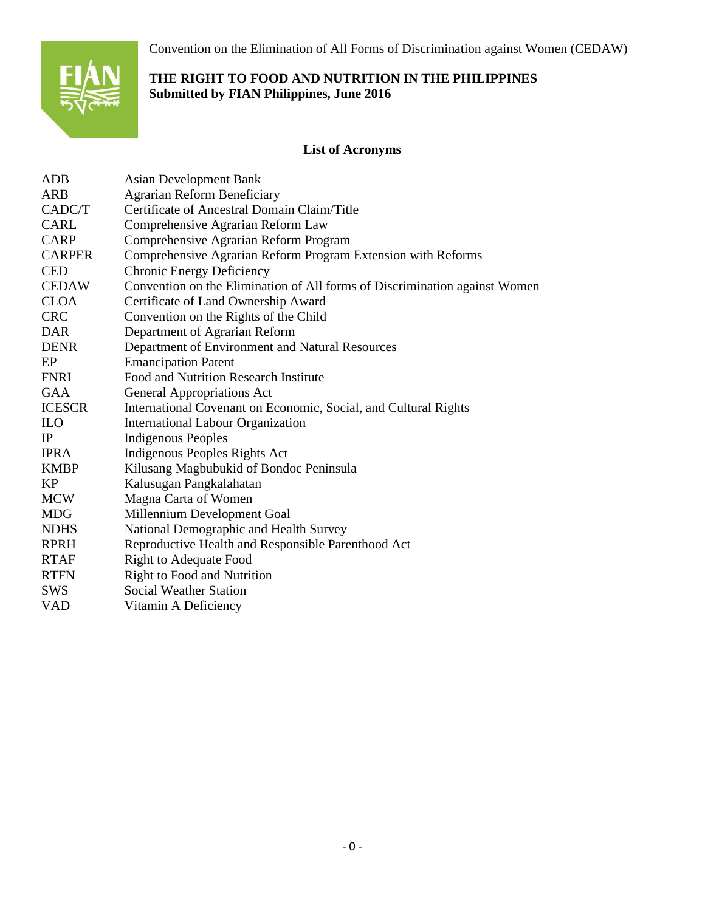Convention on the Elimination of All Forms of Discrimination against Women (CEDAW)



# **THE RIGHT TO FOOD AND NUTRITION IN THE PHILIPPINES Submitted by FIAN Philippines, June 2016**

# **List of Acronyms**

| <b>ADB</b>    | <b>Asian Development Bank</b>                                              |
|---------------|----------------------------------------------------------------------------|
| <b>ARB</b>    | <b>Agrarian Reform Beneficiary</b>                                         |
| CADC/T        | Certificate of Ancestral Domain Claim/Title                                |
| <b>CARL</b>   | Comprehensive Agrarian Reform Law                                          |
| <b>CARP</b>   | Comprehensive Agrarian Reform Program                                      |
| <b>CARPER</b> | Comprehensive Agrarian Reform Program Extension with Reforms               |
| <b>CED</b>    | <b>Chronic Energy Deficiency</b>                                           |
| <b>CEDAW</b>  | Convention on the Elimination of All forms of Discrimination against Women |
| <b>CLOA</b>   | Certificate of Land Ownership Award                                        |
| <b>CRC</b>    | Convention on the Rights of the Child                                      |
| <b>DAR</b>    | Department of Agrarian Reform                                              |
| <b>DENR</b>   | Department of Environment and Natural Resources                            |
| EP            | <b>Emancipation Patent</b>                                                 |
| <b>FNRI</b>   | Food and Nutrition Research Institute                                      |
| GAA           | <b>General Appropriations Act</b>                                          |
| <b>ICESCR</b> | International Covenant on Economic, Social, and Cultural Rights            |
| <b>ILO</b>    | <b>International Labour Organization</b>                                   |
| IP            | <b>Indigenous Peoples</b>                                                  |
| <b>IPRA</b>   | Indigenous Peoples Rights Act                                              |
| <b>KMBP</b>   | Kilusang Magbubukid of Bondoc Peninsula                                    |
| <b>KP</b>     | Kalusugan Pangkalahatan                                                    |
| <b>MCW</b>    | Magna Carta of Women                                                       |
| <b>MDG</b>    | Millennium Development Goal                                                |
| <b>NDHS</b>   | National Demographic and Health Survey                                     |
| <b>RPRH</b>   | Reproductive Health and Responsible Parenthood Act                         |
| <b>RTAF</b>   | <b>Right to Adequate Food</b>                                              |
| <b>RTFN</b>   | <b>Right to Food and Nutrition</b>                                         |
| <b>SWS</b>    | <b>Social Weather Station</b>                                              |
| VAD           | Vitamin A Deficiency                                                       |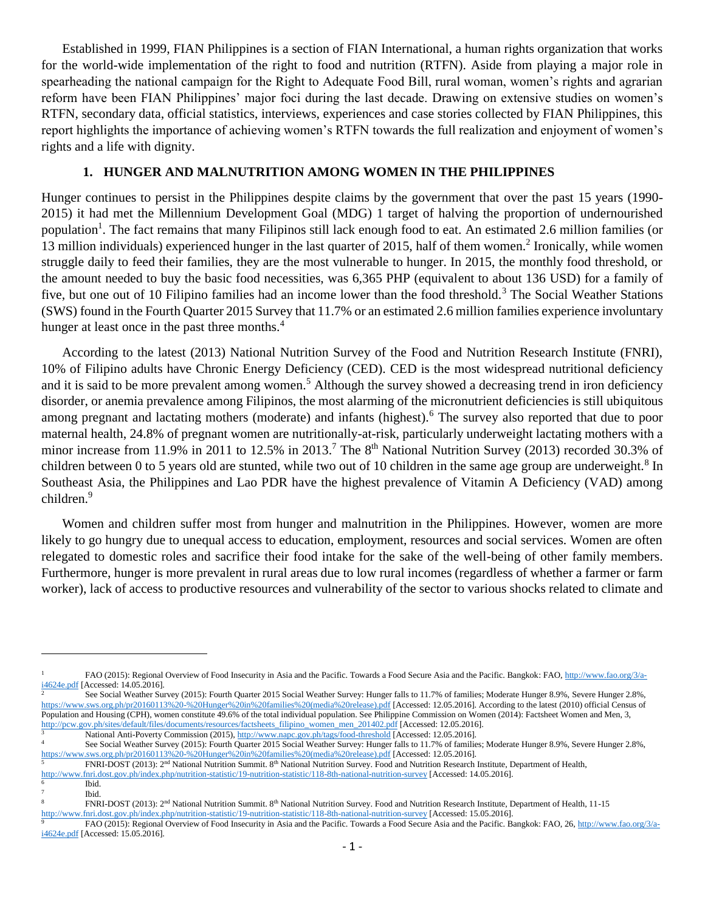Established in 1999, FIAN Philippines is a section of FIAN International, a human rights organization that works for the world-wide implementation of the right to food and nutrition (RTFN). Aside from playing a major role in spearheading the national campaign for the Right to Adequate Food Bill, rural woman, women's rights and agrarian reform have been FIAN Philippines' major foci during the last decade. Drawing on extensive studies on women's RTFN, secondary data, official statistics, interviews, experiences and case stories collected by FIAN Philippines, this report highlights the importance of achieving women's RTFN towards the full realization and enjoyment of women's rights and a life with dignity.

### **1. HUNGER AND MALNUTRITION AMONG WOMEN IN THE PHILIPPINES**

Hunger continues to persist in the Philippines despite claims by the government that over the past 15 years (1990- 2015) it had met the Millennium Development Goal (MDG) 1 target of halving the proportion of undernourished population<sup>1</sup>. The fact remains that many Filipinos still lack enough food to eat. An estimated 2.6 million families (or 13 million individuals) experienced hunger in the last quarter of 2015, half of them women.<sup>2</sup> Ironically, while women struggle daily to feed their families, they are the most vulnerable to hunger. In 2015, the monthly food threshold, or the amount needed to buy the basic food necessities, was 6,365 PHP (equivalent to about 136 USD) for a family of five, but one out of 10 Filipino families had an income lower than the food threshold.<sup>3</sup> The Social Weather Stations (SWS) found in the Fourth Quarter 2015 Survey that 11.7% or an estimated 2.6 million families experience involuntary hunger at least once in the past three months.<sup>4</sup>

According to the latest (2013) National Nutrition Survey of the Food and Nutrition Research Institute (FNRI), 10% of Filipino adults have Chronic Energy Deficiency (CED). CED is the most widespread nutritional deficiency and it is said to be more prevalent among women.<sup>5</sup> Although the survey showed a decreasing trend in iron deficiency disorder, or anemia prevalence among Filipinos, the most alarming of the micronutrient deficiencies is still ubiquitous among pregnant and lactating mothers (moderate) and infants (highest).<sup>6</sup> The survey also reported that due to poor maternal health, 24.8% of pregnant women are nutritionally-at-risk, particularly underweight lactating mothers with a minor increase from 11.9% in 2011 to 12.5% in 2013.<sup>7</sup> The 8<sup>th</sup> National Nutrition Survey (2013) recorded 30.3% of children between 0 to 5 years old are stunted, while two out of 10 children in the same age group are underweight.<sup>8</sup> In Southeast Asia, the Philippines and Lao PDR have the highest prevalence of Vitamin A Deficiency (VAD) among children.<sup>9</sup>

Women and children suffer most from hunger and malnutrition in the Philippines. However, women are more likely to go hungry due to unequal access to education, employment, resources and social services. Women are often relegated to domestic roles and sacrifice their food intake for the sake of the well-being of other family members. Furthermore, hunger is more prevalent in rural areas due to low rural incomes (regardless of whether a farmer or farm worker), lack of access to productive resources and vulnerability of the sector to various shocks related to climate and

7

<sup>1</sup> FAO (2015): Regional Overview of Food Insecurity in Asia and the Pacific. Towards a Food Secure Asia and the Pacific. Bangkok: FAO[, http://www.fao.org/3/a-](http://www.fao.org/3/a-i4624e.pdf).pdf [Accessed: 14.05.2016].

<sup>2</sup> See Social Weather Survey (2015): Fourth Quarter 2015 Social Weather Survey: Hunger falls to 11.7% of families; Moderate Hunger 8.9%, Severe Hunger 2.8%, [https://www.sws.org.ph/pr20160113%20-%20Hunger%20in%20families%20\(media%20release\).pdf](https://www.sws.org.ph/pr20160113%20-%20Hunger%20in%20families%20(media%20release).pdf) [Accessed: 12.05.2016]. According to the latest (2010) official Census of Population and Housing (CPH), women constitute 49.6% of the total individual population. See Philippine Commission on Women (2014): Factsheet Women and Men, 3, [http://pcw.gov.ph/sites/default/files/documents/resources/factsheets\\_filipino\\_women\\_men\\_201402.pdf](http://pcw.gov.ph/sites/default/files/documents/resources/factsheets_filipino_women_men_201402.pdf) [Accessed: 12.05.2016].

<sup>3&</sup>lt;br>National Anti-Poverty Commission (2015)[, http://www.napc.gov.ph/tags/food-threshold](http://www.napc.gov.ph/tags/food-threshold) [Accessed: 12.05.2016].<br>See Seciel Westbag Survey (2015): Fourth Quester 2015 Seciel Westbag Survey Hunger fells to 11.7% of fonilia See Social Weather Survey (2015): Fourth Quarter 2015 Social Weather Survey: Hunger falls to 11.7% of families; Moderate Hunger 8.9%, Severe Hunger 2.8%,

[https://www.sws.org.ph/pr20160113%20-%20Hunger%20in%20families%20\(media%20release\).pdf](https://www.sws.org.ph/pr20160113%20-%20Hunger%20in%20families%20(media%20release).pdf) [Accessed: 12.05.2016].

<sup>5</sup> FNRI-DOST (2013): 2nd National Nutrition Summit. 8th National Nutrition Survey. Food and Nutrition Research Institute, Department of Health,

<http://www.fnri.dost.gov.ph/index.php/nutrition-statistic/19-nutrition-statistic/118-8th-national-nutrition-survey> [Accessed: 14.05.2016]. 6 Ibid.

Ibid.

<sup>8</sup> FNRI-DOST (2013): 2nd National Nutrition Summit. 8th National Nutrition Survey. Food and Nutrition Research Institute, Department of Health, 11-15

<http://www.fnri.dost.gov.ph/index.php/nutrition-statistic/19-nutrition-statistic/118-8th-national-nutrition-survey> [Accessed: 15.05.2016].

<sup>9</sup> FAO (2015): Regional Overview of Food Insecurity in Asia and the Pacific. Towards a Food Secure Asia and the Pacific. Bangkok: FAO, 26, [http://www.fao.org/3/a](http://www.fao.org/3/a-i4624e.pdf)[i4624e.pdf](http://www.fao.org/3/a-i4624e.pdf) [Accessed: 15.05.2016].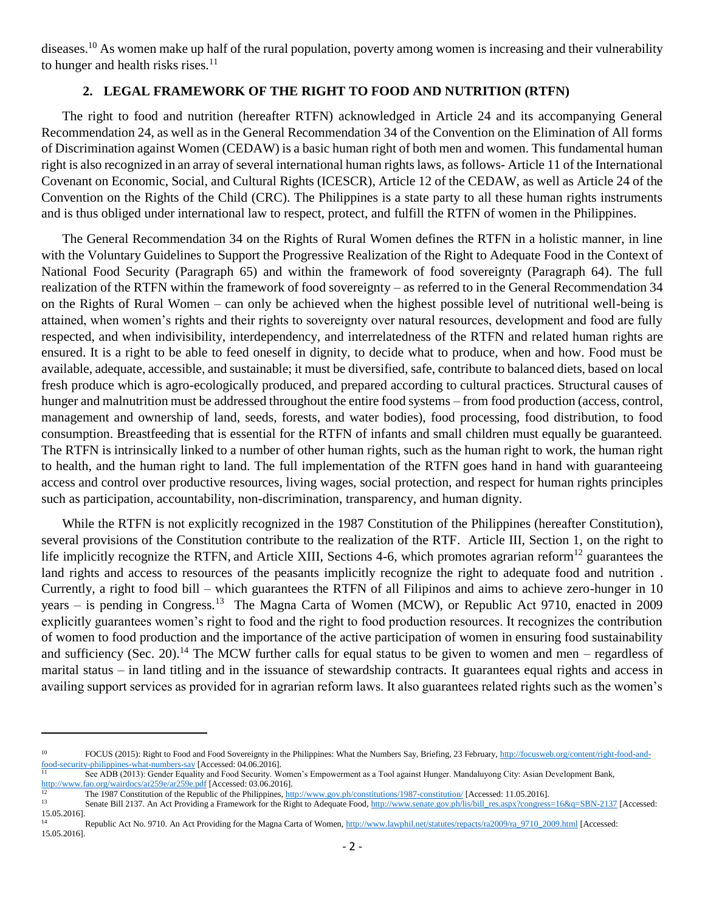diseases.<sup>10</sup> As women make up half of the rural population, poverty among women is increasing and their vulnerability to hunger and health risks rises. $^{11}$ 

# **2. LEGAL FRAMEWORK OF THE RIGHT TO FOOD AND NUTRITION (RTFN)**

The right to food and nutrition (hereafter RTFN) acknowledged in Article 24 and its accompanying General Recommendation 24, as well as in the General Recommendation 34 of the Convention on the Elimination of All forms of Discrimination against Women (CEDAW) is a basic human right of both men and women. This fundamental human right is also recognized in an array of several international human rights laws, as follows- Article 11 of the International Covenant on Economic, Social, and Cultural Rights (ICESCR), Article 12 of the CEDAW, as well as Article 24 of the Convention on the Rights of the Child (CRC). The Philippines is a state party to all these human rights instruments and is thus obliged under international law to respect, protect, and fulfill the RTFN of women in the Philippines.

The General Recommendation 34 on the Rights of Rural Women defines the RTFN in a holistic manner, in line with the Voluntary Guidelines to Support the Progressive Realization of the Right to Adequate Food in the Context of National Food Security (Paragraph 65) and within the framework of food sovereignty (Paragraph 64). The full realization of the RTFN within the framework of food sovereignty – as referred to in the General Recommendation 34 on the Rights of Rural Women – can only be achieved when the highest possible level of nutritional well-being is attained, when women's rights and their rights to sovereignty over natural resources, development and food are fully respected, and when indivisibility, interdependency, and interrelatedness of the RTFN and related human rights are ensured. It is a right to be able to feed oneself in dignity, to decide what to produce, when and how. Food must be available, adequate, accessible, and sustainable; it must be diversified, safe, contribute to balanced diets, based on local fresh produce which is agro-ecologically produced, and prepared according to cultural practices. Structural causes of hunger and malnutrition must be addressed throughout the entire food systems – from food production (access, control, management and ownership of land, seeds, forests, and water bodies), food processing, food distribution, to food consumption. Breastfeeding that is essential for the RTFN of infants and small children must equally be guaranteed. The RTFN is intrinsically linked to a number of other human rights, such as the human right to work, the human right to health, and the human right to land. The full implementation of the RTFN goes hand in hand with guaranteeing access and control over productive resources, living wages, social protection, and respect for human rights principles such as participation, accountability, non-discrimination, transparency, and human dignity.

While the RTFN is not explicitly recognized in the 1987 Constitution of the Philippines (hereafter Constitution), several provisions of the Constitution contribute to the realization of the RTF. Article III, Section 1, on the right to life implicitly recognize the RTFN, and Article XIII, Sections 4-6, which promotes agrarian reform<sup>12</sup> guarantees the land rights and access to resources of the peasants implicitly recognize the right to adequate food and nutrition. Currently, a right to food bill – which guarantees the RTFN of all Filipinos and aims to achieve zero-hunger in 10 years – is pending in Congress.<sup>13</sup> The Magna Carta of Women (MCW), or Republic Act 9710, enacted in 2009 explicitly guarantees women's right to food and the right to food production resources. It recognizes the contribution of women to food production and the importance of the active participation of women in ensuring food sustainability and sufficiency (Sec. 20).<sup>14</sup> The MCW further calls for equal status to be given to women and men – regardless of marital status – in land titling and in the issuance of stewardship contracts. It guarantees equal rights and access in availing support services as provided for in agrarian reform laws. It also guarantees related rights such as the women's

<sup>10</sup> FOCUS (2015): Right to Food and Food Sovereignty in the Philippines: What the Numbers Say, Briefing, 23 February[, http://focusweb.org/content/right-food-and](http://focusweb.org/content/right-food-and-food-security-philippines-what-numbers-say)[food-security-philippines-what-numbers-say](http://focusweb.org/content/right-food-and-food-security-philippines-what-numbers-say) [Accessed: 04.06.2016].

<sup>11</sup> See ADB (2013): Gender Equality and Food Security. Women's Empowerment as a Tool against Hunger. Mandaluyong City: Asian Development Bank, <http://www.fao.org/wairdocs/ar259e/ar259e.pdf> [Accessed: 03.06.2016].

<sup>&</sup>lt;sup>12</sup> The 1987 Constitution of the Republic of the Philippines,  $\frac{http://www.gov.ph/constitutions/1987-constitution/}{http://www.gov.ph/constitutions/1987-constitution/}{\text{Accessed: 11.05.2016}}$ .

Senate Bill 2137. An Act Providing a Framework for the Right to Adequate Food[, http://www.senate.gov.ph/lis/bill\\_res.aspx?congress=16&q=SBN-2137](http://www.senate.gov.ph/lis/bill_res.aspx?congress=16&q=SBN-2137) [Accessed: 15.05.2016].

<sup>1&</sup>lt;br>Republic Act No. 9710. An Act Providing for the Magna Carta of Women[, http://www.lawphil.net/statutes/repacts/ra2009/ra\\_9710\\_2009.html](http://www.lawphil.net/statutes/repacts/ra2009/ra_9710_2009.html) [Accessed: 15.05.2016].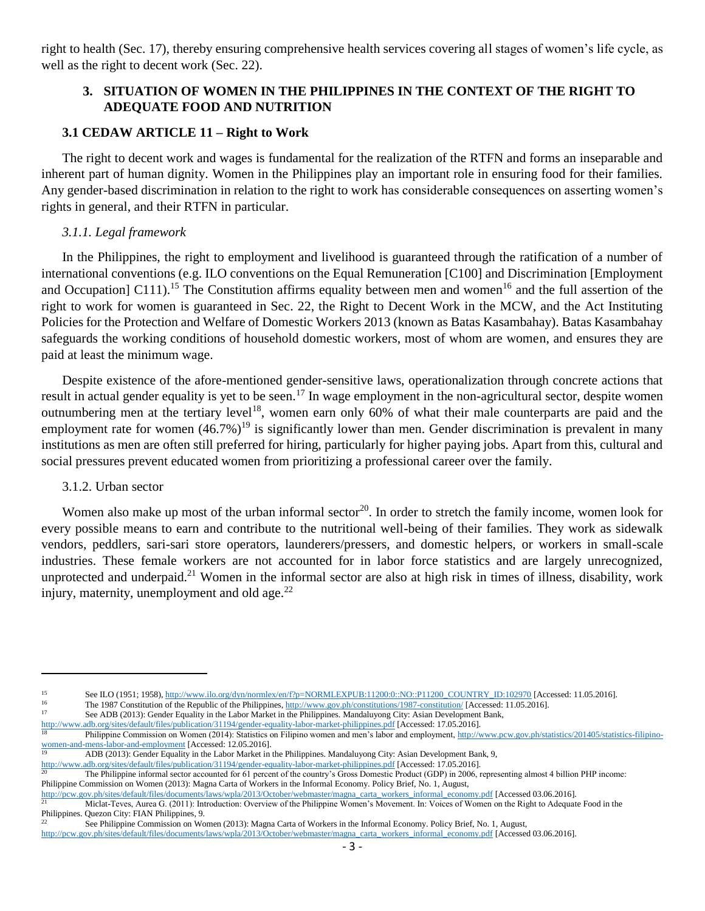right to health (Sec. 17), thereby ensuring comprehensive health services covering all stages of women's life cycle, as well as the right to decent work (Sec. 22).

# **3. SITUATION OF WOMEN IN THE PHILIPPINES IN THE CONTEXT OF THE RIGHT TO ADEQUATE FOOD AND NUTRITION**

# **3.1 CEDAW ARTICLE 11 – Right to Work**

The right to decent work and wages is fundamental for the realization of the RTFN and forms an inseparable and inherent part of human dignity. Women in the Philippines play an important role in ensuring food for their families. Any gender-based discrimination in relation to the right to work has considerable consequences on asserting women's rights in general, and their RTFN in particular.

# *3.1.1. Legal framework*

In the Philippines, the right to employment and livelihood is guaranteed through the ratification of a number of international conventions (e.g. ILO conventions on the Equal Remuneration [C100] and Discrimination [Employment and Occupation] C111).<sup>15</sup> The Constitution affirms equality between men and women<sup>16</sup> and the full assertion of the right to work for women is guaranteed in Sec. 22, the Right to Decent Work in the MCW, and the Act Instituting Policies for the Protection and Welfare of Domestic Workers 2013 (known as Batas Kasambahay). Batas Kasambahay safeguards the working conditions of household domestic workers, most of whom are women, and ensures they are paid at least the minimum wage.

Despite existence of the afore-mentioned gender-sensitive laws, operationalization through concrete actions that result in actual gender equality is yet to be seen.<sup>17</sup> In wage employment in the non-agricultural sector, despite women outnumbering men at the tertiary level<sup>18</sup>, women earn only 60% of what their male counterparts are paid and the employment rate for women  $(46.7%)^{19}$  is significantly lower than men. Gender discrimination is prevalent in many institutions as men are often still preferred for hiring, particularly for higher paying jobs. Apart from this, cultural and social pressures prevent educated women from prioritizing a professional career over the family.

# 3.1.2. Urban sector

 $\overline{a}$ 

Women also make up most of the urban informal sector<sup>20</sup>. In order to stretch the family income, women look for every possible means to earn and contribute to the nutritional well-being of their families. They work as sidewalk vendors, peddlers, sari-sari store operators, launderers/pressers, and domestic helpers, or workers in small-scale industries. These female workers are not accounted for in labor force statistics and are largely unrecognized, unprotected and underpaid.<sup>21</sup> Women in the informal sector are also at high risk in times of illness, disability, work injury, maternity, unemployment and old age. $^{22}$ 

<sup>&</sup>lt;sup>15</sup> See ILO (1951; 1958)[, http://www.ilo.org/dyn/normlex/en/f?p=NORMLEXPUB:11200:0::NO::P11200\\_COUNTRY\\_ID:102970](http://www.ilo.org/dyn/normlex/en/f?p=NORMLEXPUB:11200:0::NO::P11200_COUNTRY_ID:102970) [Accessed: 11.05.2016].<br><sup>16</sup> The 1087 Constitution of the Population of the Philippines http://www.gov.ph/c

<sup>&</sup>lt;sup>16</sup><br>
<sup>16</sup> The 1987 Constitution of the Republic of the Philippines, <u>http://www.gov.ph/constitutions/1987-constitution/</u> [Accessed: 11.05.2016].

See ADB (2013): Gender Equality in the Labor Market in the Philippines. Mandaluyong City: Asian Development Bank,

http://www.adb.org/sites/default/files/qubitication/31194/gender-equality-labor-market-philippines.pdf [Accessed: 17.05.2016].<br>18 Philippines Commiccion on Wewer (2014), Quide Title Title (2015). Philippine Commission on Women (2014): Statistics on Filipino women and men's labor and employment[, http://www.pcw.gov.ph/statistics/201405/statistics-filipino](http://www.pcw.gov.ph/statistics/201405/statistics-filipino-women-and-mens-labor-and-employment)[women-and-mens-labor-and-employment](http://www.pcw.gov.ph/statistics/201405/statistics-filipino-women-and-mens-labor-and-employment) [Accessed: 12.05.2016].

<sup>19</sup> ADB (2013): Gender Equality in the Labor Market in the Philippines. Mandaluyong City: Asian Development Bank, 9,

<http://www.adb.org/sites/default/files/publication/31194/gender-equality-labor-market-philippines.pdf> [Accessed: 17.05.2016].

The Philippine informal sector accounted for 61 percent of the country's Gross Domestic Product (GDP) in 2006, representing almost 4 billion PHP income: Philippine Commission on Women (2013): Magna Carta of Workers in the Informal Economy. Policy Brief, No. 1, August,

[http://pcw.gov.ph/sites/default/files/documents/laws/wpla/2013/October/webmaster/magna\\_carta\\_workers\\_informal\\_economy.pdf](http://pcw.gov.ph/sites/default/files/documents/laws/wpla/2013/October/webmaster/magna_carta_workers_informal_economy.pdf) [Accessed 03.06.2016]. <sup>21</sup> Miclat-Teves, Aurea G. (2011): Introduction: Overview of the Philippine Women's Movement. In: Voices of Women on the Right to Adequate Food in the

Philippines. Quezon City: FIAN Philippines, 9.

<sup>22</sup> See Philippine Commission on Women (2013): Magna Carta of Workers in the Informal Economy. Policy Brief, No. 1, August,

[http://pcw.gov.ph/sites/default/files/documents/laws/wpla/2013/October/webmaster/magna\\_carta\\_workers\\_informal\\_economy.pdf](http://pcw.gov.ph/sites/default/files/documents/laws/wpla/2013/October/webmaster/magna_carta_workers_informal_economy.pdf) [Accessed 03.06.2016].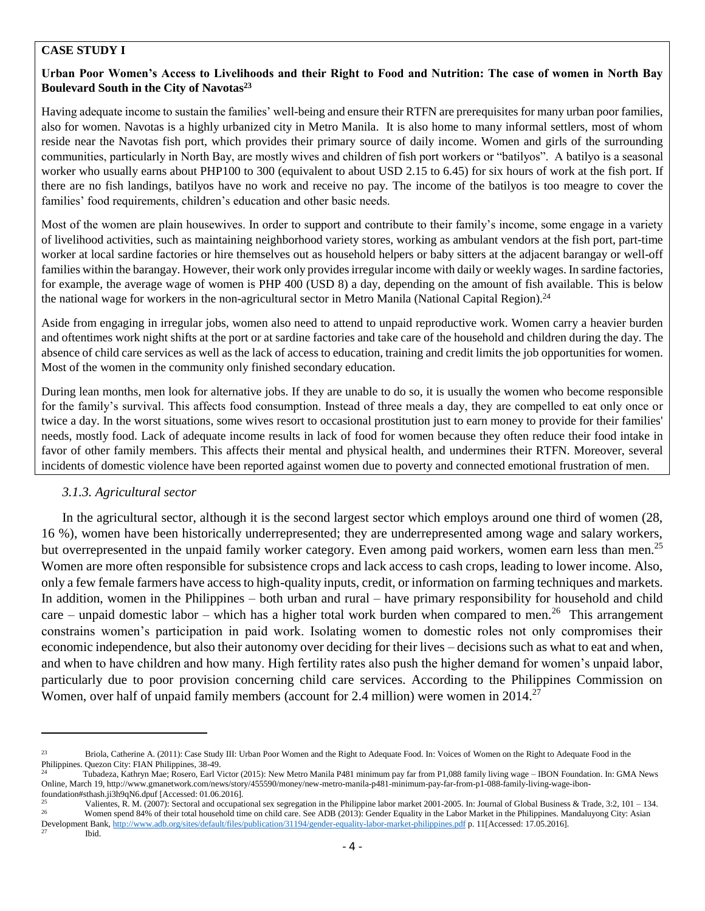#### **CASE STUDY I**

#### **Urban Poor Women's Access to Livelihoods and their Right to Food and Nutrition: The case of women in North Bay Boulevard South in the City of Navotas<sup>23</sup>**

Having adequate income to sustain the families' well-being and ensure their RTFN are prerequisites for many urban poor families, also for women. Navotas is a highly urbanized city in Metro Manila. It is also home to many informal settlers, most of whom reside near the Navotas fish port, which provides their primary source of daily income. Women and girls of the surrounding communities, particularly in North Bay, are mostly wives and children of fish port workers or "batilyos". A batilyo is a seasonal worker who usually earns about PHP100 to 300 (equivalent to about USD 2.15 to 6.45) for six hours of work at the fish port. If there are no fish landings, batilyos have no work and receive no pay. The income of the batilyos is too meagre to cover the families' food requirements, children's education and other basic needs.

Most of the women are plain housewives. In order to support and contribute to their family's income, some engage in a variety of livelihood activities, such as maintaining neighborhood variety stores, working as ambulant vendors at the fish port, part-time worker at local sardine factories or hire themselves out as household helpers or baby sitters at the adjacent barangay or well-off families within the barangay. However, their work only provides irregular income with daily or weekly wages. In sardine factories, for example, the average wage of women is PHP 400 (USD 8) a day, depending on the amount of fish available. This is below the national wage for workers in the non-agricultural sector in Metro Manila (National Capital Region).<sup>24</sup>

Aside from engaging in irregular jobs, women also need to attend to unpaid reproductive work. Women carry a heavier burden and oftentimes work night shifts at the port or at sardine factories and take care of the household and children during the day. The absence of child care services as well as the lack of access to education, training and credit limits the job opportunities for women. Most of the women in the community only finished secondary education.

During lean months, men look for alternative jobs. If they are unable to do so, it is usually the women who become responsible for the family's survival. This affects food consumption. Instead of three meals a day, they are compelled to eat only once or twice a day. In the worst situations, some wives resort to occasional prostitution just to earn money to provide for their families' needs, mostly food. Lack of adequate income results in lack of food for women because they often reduce their food intake in favor of other family members. This affects their mental and physical health, and undermines their RTFN. Moreover, several incidents of domestic violence have been reported against women due to poverty and connected emotional frustration of men.

# *3.1.3. Agricultural sector*

In the agricultural sector, although it is the second largest sector which employs around one third of women (28, 16 %), women have been historically underrepresented; they are underrepresented among wage and salary workers, but overrepresented in the unpaid family worker category. Even among paid workers, women earn less than men.<sup>25</sup> Women are more often responsible for subsistence crops and lack access to cash crops, leading to lower income. Also, only a few female farmers have access to high-quality inputs, credit, or information on farming techniques and markets. In addition, women in the Philippines – both urban and rural – have primary responsibility for household and child care – unpaid domestic labor – which has a higher total work burden when compared to men.<sup>26</sup> This arrangement constrains women's participation in paid work. Isolating women to domestic roles not only compromises their economic independence, but also their autonomy over deciding for their lives – decisions such as what to eat and when, and when to have children and how many. High fertility rates also push the higher demand for women's unpaid labor, particularly due to poor provision concerning child care services. According to the Philippines Commission on Women, over half of unpaid family members (account for 2.4 million) were women in 2014.<sup>27</sup>

<sup>23</sup> Briola, Catherine A. (2011): Case Study III: Urban Poor Women and the Right to Adequate Food. In: Voices of Women on the Right to Adequate Food in the Philippines. Quezon City: FIAN Philippines, 38-49.

<sup>24</sup> Tubadeza, Kathryn Mae; Rosero, Earl Victor (2015): New Metro Manila P481 minimum pay far from P1,088 family living wage – IBON Foundation. In: GMA News Online, March 19, http://www.gmanetwork.com/news/story/455590/money/new-metro-manila-p481-minimum-pay-far-from-p1-088-family-living-wage-ibon-

foundation#sthash.ji3h9qN6.dpuf [Accessed: 01.06.2016].

Valientes, R. M. (2007): Sectoral and occupational sex segregation in the Philippine labor market 2001-2005. In: Journal of Global Business & Trade, 3:2, 101 – 134. Women spend 84% of their total household time on child care. See ADB (2013): Gender Equality in the Labor Market in the Philippines. Mandaluyong City: Asian Development Bank[, http://www.adb.org/sites/default/files/publication/31194/gender-equality-labor-market-philippines.pdf](http://www.adb.org/sites/default/files/publication/31194/gender-equality-labor-market-philippines.pdf) p. 11[Accessed: 17.05.2016].

Ibid.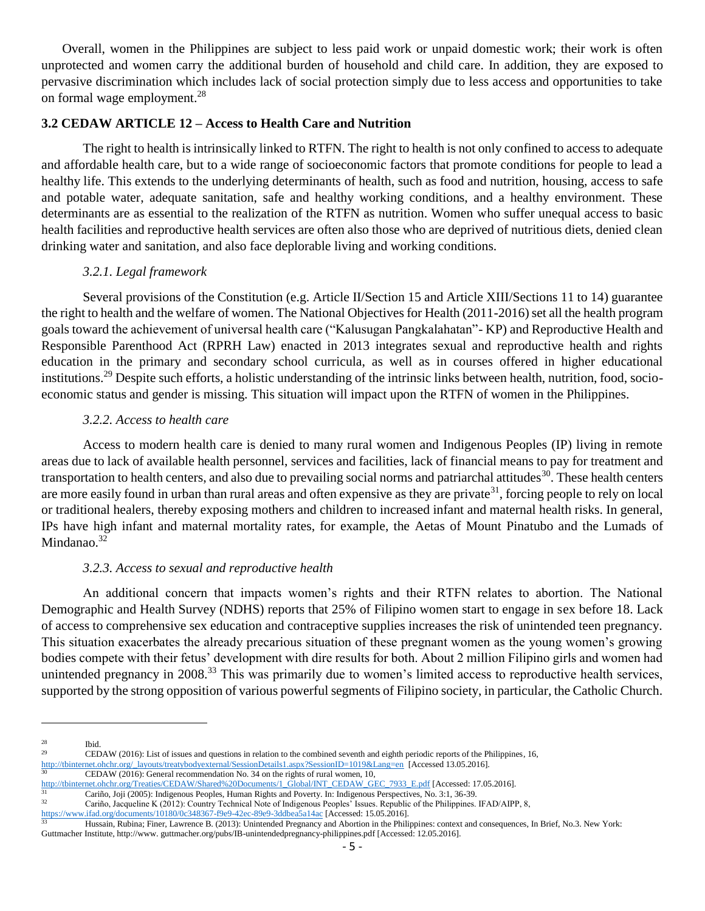Overall, women in the Philippines are subject to less paid work or unpaid domestic work; their work is often unprotected and women carry the additional burden of household and child care. In addition, they are exposed to pervasive discrimination which includes lack of social protection simply due to less access and opportunities to take on formal wage employment.<sup>28</sup>

# **3.2 CEDAW ARTICLE 12 – Access to Health Care and Nutrition**

The right to health is intrinsically linked to RTFN. The right to health is not only confined to access to adequate and affordable health care, but to a wide range of socioeconomic factors that promote conditions for people to lead a healthy life. This extends to the underlying determinants of health, such as food and nutrition, housing, access to safe and potable water, adequate sanitation, safe and healthy working conditions, and a healthy environment. These determinants are as essential to the realization of the RTFN as nutrition. Women who suffer unequal access to basic health facilities and reproductive health services are often also those who are deprived of nutritious diets, denied clean drinking water and sanitation, and also face deplorable living and working conditions.

#### *3.2.1. Legal framework*

Several provisions of the Constitution (e.g. Article II/Section 15 and Article XIII/Sections 11 to 14) guarantee the right to health and the welfare of women. The National Objectives for Health (2011-2016) set all the health program goals toward the achievement of universal health care ("Kalusugan Pangkalahatan"- KP) and Reproductive Health and Responsible Parenthood Act (RPRH Law) enacted in 2013 integrates sexual and reproductive health and rights education in the primary and secondary school curricula, as well as in courses offered in higher educational institutions.<sup>29</sup> Despite such efforts, a holistic understanding of the intrinsic links between health, nutrition, food, socioeconomic status and gender is missing. This situation will impact upon the RTFN of women in the Philippines.

#### *3.2.2. Access to health care*

Access to modern health care is denied to many rural women and Indigenous Peoples (IP) living in remote areas due to lack of available health personnel, services and facilities, lack of financial means to pay for treatment and transportation to health centers, and also due to prevailing social norms and patriarchal attitudes<sup>30</sup>. These health centers are more easily found in urban than rural areas and often expensive as they are private<sup>31</sup>, forcing people to rely on local or traditional healers, thereby exposing mothers and children to increased infant and maternal health risks. In general, IPs have high infant and maternal mortality rates, for example, the Aetas of Mount Pinatubo and the Lumads of Mindanao. $32$ 

# *3.2.3. Access to sexual and reproductive health*

An additional concern that impacts women's rights and their RTFN relates to abortion. The National Demographic and Health Survey (NDHS) reports that 25% of Filipino women start to engage in sex before 18. Lack of access to comprehensive sex education and contraceptive supplies increases the risk of unintended teen pregnancy. This situation exacerbates the already precarious situation of these pregnant women as the young women's growing bodies compete with their fetus' development with dire results for both. About 2 million Filipino girls and women had unintended pregnancy in 2008.<sup>33</sup> This was primarily due to women's limited access to reproductive health services, supported by the strong opposition of various powerful segments of Filipino society, in particular, the Catholic Church.

 $\frac{28}{29}$  Ibid.

<sup>29</sup> CEDAW (2016): List of issues and questions in relation to the combined seventh and eighth periodic reports of the Philippines, 16,

[http://tbinternet.ohchr.org/\\_layouts/treatybodyexternal/SessionDetails1.aspx?SessionID=1019&Lang=en](http://tbinternet.ohchr.org/_layouts/treatybodyexternal/SessionDetails1.aspx?SessionID=1019&Lang=en) [Accessed 13.05.2016].

CEDAW (2016): General recommendation No. 34 on the rights of rural women, 10,

http://tbinternet.ohchr.org/Treaties/CEDAW/Shared%20Documents/1\_Global/INT\_CEDAW\_GeC\_7933\_E.pdf [Accessed: 17.05.2016].<br>31 Cariño Ioji (2005): Indiananus Pacales, Hymna, Bickes and Paugent: In: Indiananus Pacaustines N. 20

<sup>&</sup>lt;sup>31</sup> Cariño, Joji (2005): Indigenous Peoples, Human Rights and Poverty. In: Indigenous Perspectives, No. 3:1, 36-39.<br><sup>32</sup> Cariño, Joaqualina K. (2012): Country Technical Nets of Indigenous Peoples' Jesues, Penublic of the Cariño, Jacqueline K (2012): Country Technical Note of Indigenous Peoples' Issues. Republic of the Philippines. IFAD/AIPP, 8,

<https://www.ifad.org/documents/10180/0c348367-f9e9-42ec-89e9-3ddbea5a14ac> [Accessed: 15.05.2016].<br>33 Hussain Rubina: Finer J aurence B (2013): Universided Decenses and Abertice in the New

Hussain, Rubina; Finer, Lawrence B. (2013): Unintended Pregnancy and Abortion in the Philippines: context and consequences, In Brief, No.3. New York: Guttmacher Institute, http://www. guttmacher.org/pubs/IB-unintendedpregnancy-philippines.pdf [Accessed: 12.05.2016].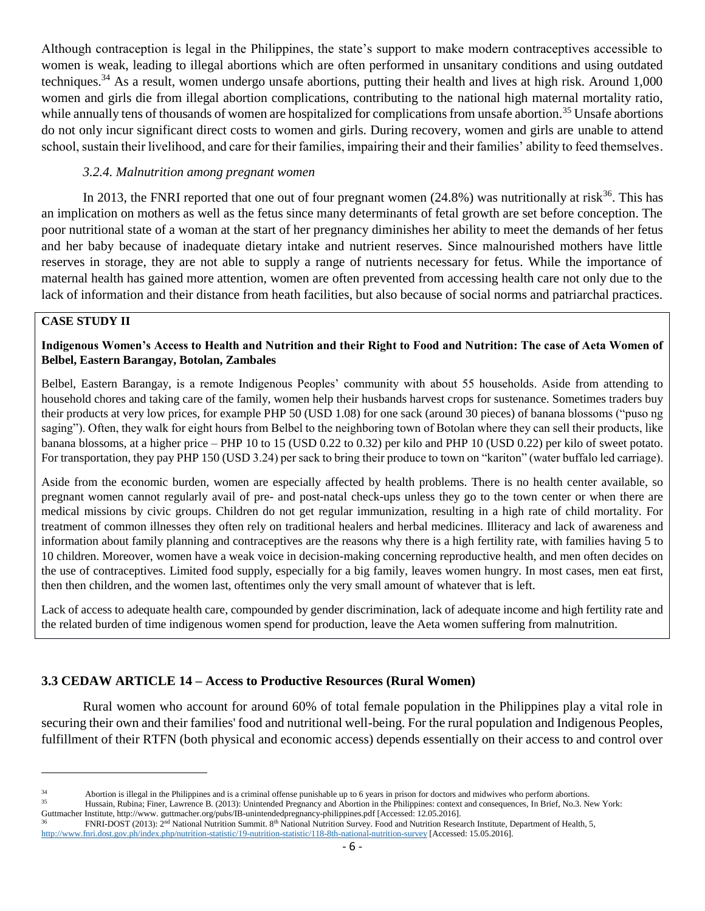Although contraception is legal in the Philippines, the state's support to make modern contraceptives accessible to women is weak, leading to illegal abortions which are often performed in unsanitary conditions and using outdated techniques.<sup>34</sup> As a result, women undergo unsafe abortions, putting their health and lives at high risk. Around 1,000 women and girls die from illegal abortion complications, contributing to the national high maternal mortality ratio, while annually tens of thousands of women are hospitalized for complications from unsafe abortion.<sup>35</sup> Unsafe abortions do not only incur significant direct costs to women and girls. During recovery, women and girls are unable to attend school, sustain their livelihood, and care for their families, impairing their and their families' ability to feed themselves.

#### *3.2.4. Malnutrition among pregnant women*

In 2013, the FNRI reported that one out of four pregnant women  $(24.8%)$  was nutritionally at risk<sup>36</sup>. This has an implication on mothers as well as the fetus since many determinants of fetal growth are set before conception. The poor nutritional state of a woman at the start of her pregnancy diminishes her ability to meet the demands of her fetus and her baby because of inadequate dietary intake and nutrient reserves. Since malnourished mothers have little reserves in storage, they are not able to supply a range of nutrients necessary for fetus. While the importance of maternal health has gained more attention, women are often prevented from accessing health care not only due to the lack of information and their distance from heath facilities, but also because of social norms and patriarchal practices.

# **CASE STUDY II**

l

### **Indigenous Women's Access to Health and Nutrition and their Right to Food and Nutrition: The case of Aeta Women of Belbel, Eastern Barangay, Botolan, Zambales**

Belbel, Eastern Barangay, is a remote Indigenous Peoples' community with about 55 households. Aside from attending to household chores and taking care of the family, women help their husbands harvest crops for sustenance. Sometimes traders buy their products at very low prices, for example PHP 50 (USD 1.08) for one sack (around 30 pieces) of banana blossoms ("puso ng saging"). Often, they walk for eight hours from Belbel to the neighboring town of Botolan where they can sell their products, like banana blossoms, at a higher price – PHP 10 to 15 (USD 0.22 to 0.32) per kilo and PHP 10 (USD 0.22) per kilo of sweet potato. For transportation, they pay PHP 150 (USD 3.24) per sack to bring their produce to town on "kariton" (water buffalo led carriage).

Aside from the economic burden, women are especially affected by health problems. There is no health center available, so pregnant women cannot regularly avail of pre- and post-natal check-ups unless they go to the town center or when there are medical missions by civic groups. Children do not get regular immunization, resulting in a high rate of child mortality. For treatment of common illnesses they often rely on traditional healers and herbal medicines. Illiteracy and lack of awareness and information about family planning and contraceptives are the reasons why there is a high fertility rate, with families having 5 to 10 children. Moreover, women have a weak voice in decision-making concerning reproductive health, and men often decides on the use of contraceptives. Limited food supply, especially for a big family, leaves women hungry. In most cases, men eat first, then then children, and the women last, oftentimes only the very small amount of whatever that is left.

Lack of access to adequate health care, compounded by gender discrimination, lack of adequate income and high fertility rate and the related burden of time indigenous women spend for production, leave the Aeta women suffering from malnutrition.

# **3.3 CEDAW ARTICLE 14 – Access to Productive Resources (Rural Women)**

Rural women who account for around 60% of total female population in the Philippines play a vital role in securing their own and their families' food and nutritional well-being. For the rural population and Indigenous Peoples, fulfillment of their RTFN (both physical and economic access) depends essentially on their access to and control over

<sup>34</sup> Abortion is illegal in the Philippines and is a criminal offense punishable up to 6 years in prison for doctors and midwives who perform abortions.<br><sup>35</sup> Happen Bushine: Fines J eurones B. (2013): Unistended Pregnancy a

Hussain, Rubina; Finer, Lawrence B. (2013): Unintended Pregnancy and Abortion in the Philippines: context and consequences, In Brief, No.3. New York: Guttmacher Institute, http://www. guttmacher.org/pubs/IB-unintendedpregnancy-philippines.pdf [Accessed: 12.05.2016].

FNRI-DOST (2013): 2<sup>nd</sup> National Nutrition Summit. 8<sup>th</sup> National Nutrition Survey. Food and Nutrition Research Institute, Department of Health, 5, <http://www.fnri.dost.gov.ph/index.php/nutrition-statistic/19-nutrition-statistic/118-8th-national-nutrition-survey> [Accessed: 15.05.2016].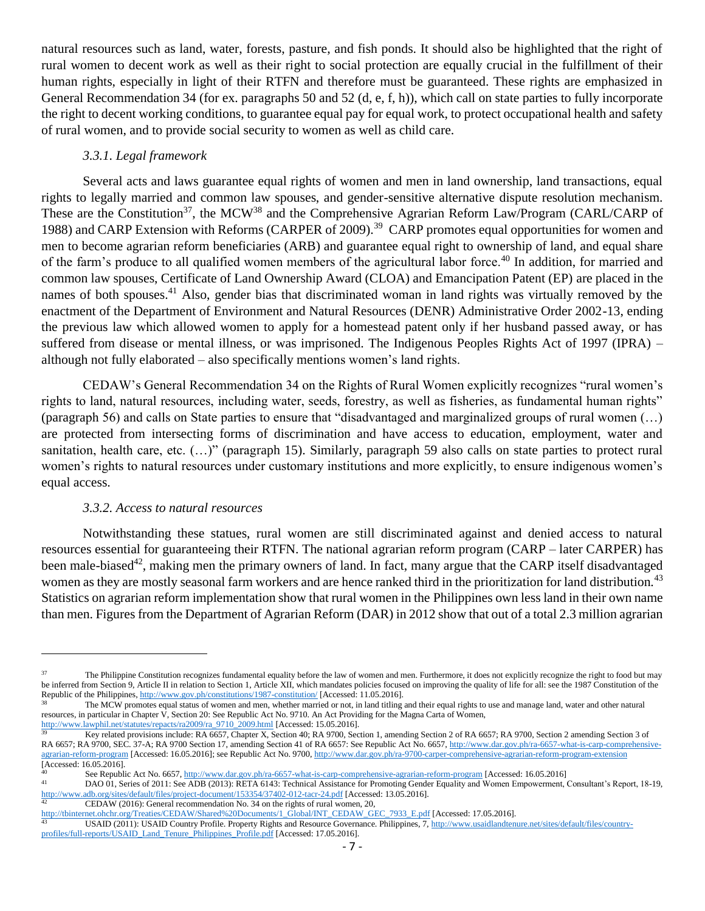natural resources such as land, water, forests, pasture, and fish ponds. It should also be highlighted that the right of rural women to decent work as well as their right to social protection are equally crucial in the fulfillment of their human rights, especially in light of their RTFN and therefore must be guaranteed. These rights are emphasized in General Recommendation 34 (for ex. paragraphs 50 and 52 (d, e, f, h)), which call on state parties to fully incorporate the right to decent working conditions, to guarantee equal pay for equal work, to protect occupational health and safety of rural women, and to provide social security to women as well as child care.

#### *3.3.1. Legal framework*

Several acts and laws guarantee equal rights of women and men in land ownership, land transactions, equal rights to legally married and common law spouses, and gender-sensitive alternative dispute resolution mechanism. These are the Constitution<sup>37</sup>, the MCW<sup>38</sup> and the Comprehensive Agrarian Reform Law/Program (CARL/CARP of 1988) and CARP Extension with Reforms (CARPER of 2009).<sup>39</sup> CARP promotes equal opportunities for women and men to become agrarian reform beneficiaries (ARB) and guarantee equal right to ownership of land, and equal share of the farm's produce to all qualified women members of the agricultural labor force.<sup>40</sup> In addition, for married and common law spouses, Certificate of Land Ownership Award (CLOA) and Emancipation Patent (EP) are placed in the names of both spouses.<sup>41</sup> Also, gender bias that discriminated woman in land rights was virtually removed by the enactment of the Department of Environment and Natural Resources (DENR) Administrative Order 2002-13, ending the previous law which allowed women to apply for a homestead patent only if her husband passed away, or has suffered from disease or mental illness, or was imprisoned. The Indigenous Peoples Rights Act of 1997 (IPRA) – although not fully elaborated – also specifically mentions women's land rights.

CEDAW's General Recommendation 34 on the Rights of Rural Women explicitly recognizes "rural women's rights to land, natural resources, including water, seeds, forestry, as well as fisheries, as fundamental human rights" (paragraph 56) and calls on State parties to ensure that "disadvantaged and marginalized groups of rural women (…) are protected from intersecting forms of discrimination and have access to education, employment, water and sanitation, health care, etc.  $(...)$ " (paragraph 15). Similarly, paragraph 59 also calls on state parties to protect rural women's rights to natural resources under customary institutions and more explicitly, to ensure indigenous women's equal access.

#### *3.3.2. Access to natural resources*

 $\overline{a}$ 

Notwithstanding these statues, rural women are still discriminated against and denied access to natural resources essential for guaranteeing their RTFN. The national agrarian reform program (CARP – later CARPER) has been male-biased<sup>42</sup>, making men the primary owners of land. In fact, many argue that the CARP itself disadvantaged women as they are mostly seasonal farm workers and are hence ranked third in the prioritization for land distribution.<sup>43</sup> Statistics on agrarian reform implementation show that rural women in the Philippines own less land in their own name than men. Figures from the Department of Agrarian Reform (DAR) in 2012 show that out of a total 2.3 million agrarian

CEDAW (2016): General recommendation No. 34 on the rights of rural women, 20,

<sup>&</sup>lt;sup>37</sup> The Philippine Constitution recognizes fundamental equality before the law of women and men. Furthermore, it does not explicitly recognize the right to food but may be inferred from Section 9, Article II in relation to Section 1, Article XII, which mandates policies focused on improving the quality of life for all: see the 1987 Constitution of the Republic of the Philippines[, http://www.gov.ph/constitutions/1987-constitution/](http://www.gov.ph/constitutions/1987-constitution/) [Accessed: 11.05.2016].

The MCW promotes equal status of women and men, whether married or not, in land titling and their equal rights to use and manage land, water and other natural resources, in particular in Chapter V, Section 20: See Republic Act No. 9710. An Act Providing for the Magna Carta of Women,

[http://www.lawphil.net/statutes/repacts/ra2009/ra\\_9710\\_2009.html](http://www.lawphil.net/statutes/repacts/ra2009/ra_9710_2009.html) [Accessed: 15.05.2016]. <sup>39</sup> Key related provisions include: RA 6657, Chapter X, Section 40; RA 9700, Section 1, amending Section 2 of RA 6657; RA 9700, Section 2 amending Section 3 of RA 6657; RA 9700, SEC. 37-A; RA 9700 Section 17, amending Section 41 of RA 6657: See Republic Act No. 6657[, http://www.dar.gov.ph/ra-6657-what-is-carp-comprehensive](http://www.dar.gov.ph/ra-6657-what-is-carp-comprehensive-agrarian-reform-program)[agrarian-reform-program](http://www.dar.gov.ph/ra-6657-what-is-carp-comprehensive-agrarian-reform-program) [Accessed: 16.05.2016]; see Republic Act No. 9700[, http://www.dar.gov.ph/ra-9700-carper-comprehensive-agrarian-reform-program-extension](http://www.dar.gov.ph/ra-9700-carper-comprehensive-agrarian-reform-program-extension) [Accessed: 16.05.2016].

<sup>40</sup> See Republic Act No. 6657[, http://www.dar.gov.ph/ra-6657-what-is-carp-comprehensive-agrarian-reform-program](http://www.dar.gov.ph/ra-6657-what-is-carp-comprehensive-agrarian-reform-program) [Accessed: 16.05.2016]

DAO 01, Series of 2011: See ADB (2013): RETA 6143: Technical Assistance for Promoting Gender Equality and Women Empowerment, Consultant's Report, 18-19, <http://www.adb.org/sites/default/files/project-document/153354/37402-012-tacr-24.pdf> [Accessed: 13.05.2016].

[http://tbinternet.ohchr.org/Treaties/CEDAW/Shared%20Documents/1\\_Global/INT\\_CEDAW\\_GEC\\_7933\\_E.pdf](http://tbinternet.ohchr.org/Treaties/CEDAW/Shared%20Documents/1_Global/INT_CEDAW_GEC_7933_E.pdf) [Accessed: 17.05.2016].

USAID (2011): USAID Country Profile. Property Rights and Resource Governance. Philippines,  $\overline{7}$ [, http://www.usaidlandtenure.net/sites/default/files/country](http://www.usaidlandtenure.net/sites/default/files/country-profiles/full-reports/USAID_Land_Tenure_Philippines_Profile.pdf)[profiles/full-reports/USAID\\_Land\\_Tenure\\_Philippines\\_Profile.pdf](http://www.usaidlandtenure.net/sites/default/files/country-profiles/full-reports/USAID_Land_Tenure_Philippines_Profile.pdf) [Accessed: 17.05.2016].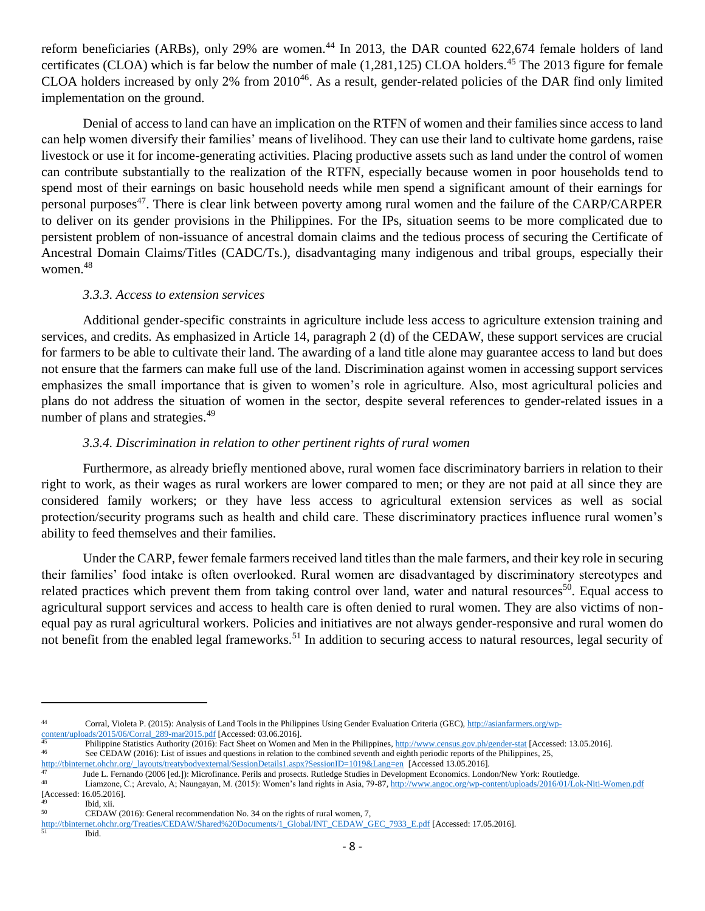reform beneficiaries (ARBs), only 29% are women.<sup>44</sup> In 2013, the DAR counted 622,674 female holders of land certificates (CLOA) which is far below the number of male  $(1,281,125)$  CLOA holders.<sup>45</sup> The 2013 figure for female CLOA holders increased by only 2% from 2010<sup>46</sup>. As a result, gender-related policies of the DAR find only limited implementation on the ground.

Denial of access to land can have an implication on the RTFN of women and their families since access to land can help women diversify their families' means of livelihood. They can use their land to cultivate home gardens, raise livestock or use it for income-generating activities. Placing productive assets such as land under the control of women can contribute substantially to the realization of the RTFN, especially because women in poor households tend to spend most of their earnings on basic household needs while men spend a significant amount of their earnings for personal purposes<sup>47</sup>. There is clear link between poverty among rural women and the failure of the CARP/CARPER to deliver on its gender provisions in the Philippines. For the IPs, situation seems to be more complicated due to persistent problem of non-issuance of ancestral domain claims and the tedious process of securing the Certificate of Ancestral Domain Claims/Titles (CADC/Ts.), disadvantaging many indigenous and tribal groups, especially their women.<sup>48</sup>

#### *3.3.3. Access to extension services*

Additional gender-specific constraints in agriculture include less access to agriculture extension training and services, and credits. As emphasized in Article 14, paragraph 2 (d) of the CEDAW, these support services are crucial for farmers to be able to cultivate their land. The awarding of a land title alone may guarantee access to land but does not ensure that the farmers can make full use of the land. Discrimination against women in accessing support services emphasizes the small importance that is given to women's role in agriculture. Also, most agricultural policies and plans do not address the situation of women in the sector, despite several references to gender-related issues in a number of plans and strategies.<sup>49</sup>

# *3.3.4. Discrimination in relation to other pertinent rights of rural women*

Furthermore, as already briefly mentioned above, rural women face discriminatory barriers in relation to their right to work, as their wages as rural workers are lower compared to men; or they are not paid at all since they are considered family workers; or they have less access to agricultural extension services as well as social protection/security programs such as health and child care. These discriminatory practices influence rural women's ability to feed themselves and their families.

Under the CARP, fewer female farmers received land titles than the male farmers, and their key role in securing their families' food intake is often overlooked. Rural women are disadvantaged by discriminatory stereotypes and related practices which prevent them from taking control over land, water and natural resources<sup>50</sup>. Equal access to agricultural support services and access to health care is often denied to rural women. They are also victims of nonequal pay as rural agricultural workers. Policies and initiatives are not always gender-responsive and rural women do not benefit from the enabled legal frameworks.<sup>51</sup> In addition to securing access to natural resources, legal security of

 $\overline{\phantom{a}}$ 

<sup>44</sup> Corral, Violeta P. (2015): Analysis of Land Tools in the Philippines Using Gender Evaluation Criteria (GEC)[, http://asianfarmers.org/wp](http://asianfarmers.org/wp-content/uploads/2015/06/Corral_289-mar2015.pdf)[content/uploads/2015/06/Corral\\_289-mar2015.pdf](http://asianfarmers.org/wp-content/uploads/2015/06/Corral_289-mar2015.pdf) [Accessed: 03.06.2016].

<sup>&</sup>lt;sup>45</sup> Philippine Statistics Authority (2016): Fact Sheet on Women and Men in the Philippines,  $\frac{http://www.census.gov.php/gender-stat}{}$  [Accessed: 13.05.2016]. See CEDAW (2016): List of issues and questions in relation to the combined seventh and eighth periodic reports of the Philippines, 25,

[http://tbinternet.ohchr.org/\\_layouts/treatybodyexternal/SessionDetails1.aspx?SessionID=1019&Lang=en](http://tbinternet.ohchr.org/_layouts/treatybodyexternal/SessionDetails1.aspx?SessionID=1019&Lang=en) [Accessed 13.05.2016].<br>47 Iude I Fernando (2006 Jed.): Microfinance Perils and prosects Putlodge Studies in Davelopment Fe

<sup>47</sup> Jude L. Fernando (2006 [ed.]): Microfinance. Perils and prosects. Rutledge Studies in Development Economics. London/New York: Routledge.<br>48 January C. Arayala, A. Naungayan, M. (2015): Waman's land rights in Asia, 70, 8 Liamzone, C.; Arevalo, A; Naungayan, M. (2015): Women's land rights in Asia, 79-87[, http://www.angoc.org/wp-content/uploads/2016/01/Lok-Niti-Women.pdf](http://www.angoc.org/wp-content/uploads/2016/01/Lok-Niti-Women.pdf)

<sup>[</sup>Accessed: 16.05.2016].

 $\frac{49}{50}$  Ibid, xii.

CEDAW (2016): General recommendation No. 34 on the rights of rural women, 7,

[http://tbinternet.ohchr.org/Treaties/CEDAW/Shared%20Documents/1\\_Global/INT\\_CEDAW\\_GEC\\_7933\\_E.pdf](http://tbinternet.ohchr.org/Treaties/CEDAW/Shared%20Documents/1_Global/INT_CEDAW_GEC_7933_E.pdf) [Accessed: 17.05.2016].

Ibid.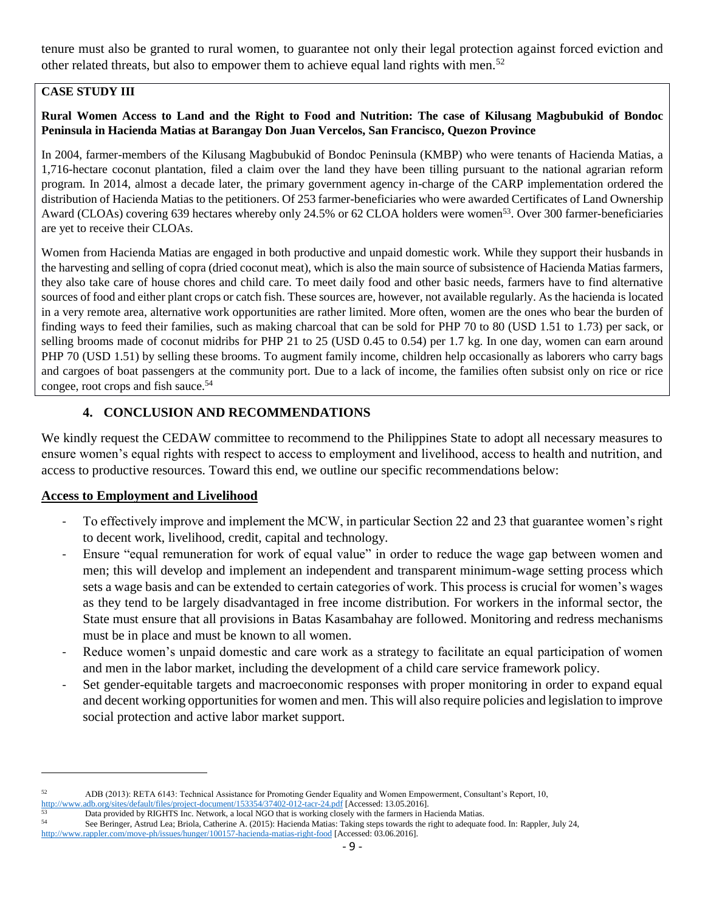tenure must also be granted to rural women, to guarantee not only their legal protection against forced eviction and other related threats, but also to empower them to achieve equal land rights with men.<sup>52</sup>

# **CASE STUDY III**

### **Rural Women Access to Land and the Right to Food and Nutrition: The case of Kilusang Magbubukid of Bondoc Peninsula in Hacienda Matias at Barangay Don Juan Vercelos, San Francisco, Quezon Province**

In 2004, farmer-members of the Kilusang Magbubukid of Bondoc Peninsula (KMBP) who were tenants of Hacienda Matias, a 1,716-hectare coconut plantation, filed a claim over the land they have been tilling pursuant to the national agrarian reform program. In 2014, almost a decade later, the primary government agency in-charge of the CARP implementation ordered the distribution of Hacienda Matias to the petitioners. Of 253 farmer-beneficiaries who were awarded Certificates of Land Ownership Award (CLOAs) covering 639 hectares whereby only 24.5% or 62 CLOA holders were women<sup>53</sup>. Over 300 farmer-beneficiaries are yet to receive their CLOAs.

Women from Hacienda Matias are engaged in both productive and unpaid domestic work. While they support their husbands in the harvesting and selling of copra (dried coconut meat), which is also the main source of subsistence of Hacienda Matias farmers, they also take care of house chores and child care. To meet daily food and other basic needs, farmers have to find alternative sources of food and either plant crops or catch fish. These sources are, however, not available regularly. As the hacienda is located in a very remote area, alternative work opportunities are rather limited. More often, women are the ones who bear the burden of finding ways to feed their families, such as making charcoal that can be sold for PHP 70 to 80 (USD 1.51 to 1.73) per sack, or selling brooms made of coconut midribs for PHP 21 to 25 (USD 0.45 to 0.54) per 1.7 kg. In one day, women can earn around PHP 70 (USD 1.51) by selling these brooms. To augment family income, children help occasionally as laborers who carry bags and cargoes of boat passengers at the community port. Due to a lack of income, the families often subsist only on rice or rice congee, root crops and fish sauce.<sup>54</sup>

# **4. CONCLUSION AND RECOMMENDATIONS**

We kindly request the CEDAW committee to recommend to the Philippines State to adopt all necessary measures to ensure women's equal rights with respect to access to employment and livelihood, access to health and nutrition, and access to productive resources. Toward this end, we outline our specific recommendations below:

# **Access to Employment and Livelihood**

l

- To effectively improve and implement the MCW, in particular Section 22 and 23 that guarantee women's right to decent work, livelihood, credit, capital and technology.
- Ensure "equal remuneration for work of equal value" in order to reduce the wage gap between women and men; this will develop and implement an independent and transparent minimum-wage setting process which sets a wage basis and can be extended to certain categories of work. This process is crucial for women's wages as they tend to be largely disadvantaged in free income distribution. For workers in the informal sector, the State must ensure that all provisions in Batas Kasambahay are followed. Monitoring and redress mechanisms must be in place and must be known to all women.
- Reduce women's unpaid domestic and care work as a strategy to facilitate an equal participation of women and men in the labor market, including the development of a child care service framework policy.
- Set gender-equitable targets and macroeconomic responses with proper monitoring in order to expand equal and decent working opportunities for women and men. This will also require policies and legislation to improve social protection and active labor market support.

<sup>52</sup> ADB (2013): RETA 6143: Technical Assistance for Promoting Gender Equality and Women Empowerment, Consultant's Report, 10, <http://www.adb.org/sites/default/files/project-document/153354/37402-012-tacr-24.pdf> [Accessed: 13.05.2016].

 $53$  Data provided by RIGHTS Inc. Network, a local NGO that is working closely with the farmers in Hacienda Matias.<br>See Beringer, Astrud Lac: Briele Catherine A. (2015): Hacienda Matias: Taking steps towards the right to

<sup>54</sup> See Beringer, Astrud Lea; Briola, Catherine A. (2015): Hacienda Matias: Taking steps towards the right to adequate food. In: Rappler, July 24,

<http://www.rappler.com/move-ph/issues/hunger/100157-hacienda-matias-right-food> [Accessed: 03.06.2016].